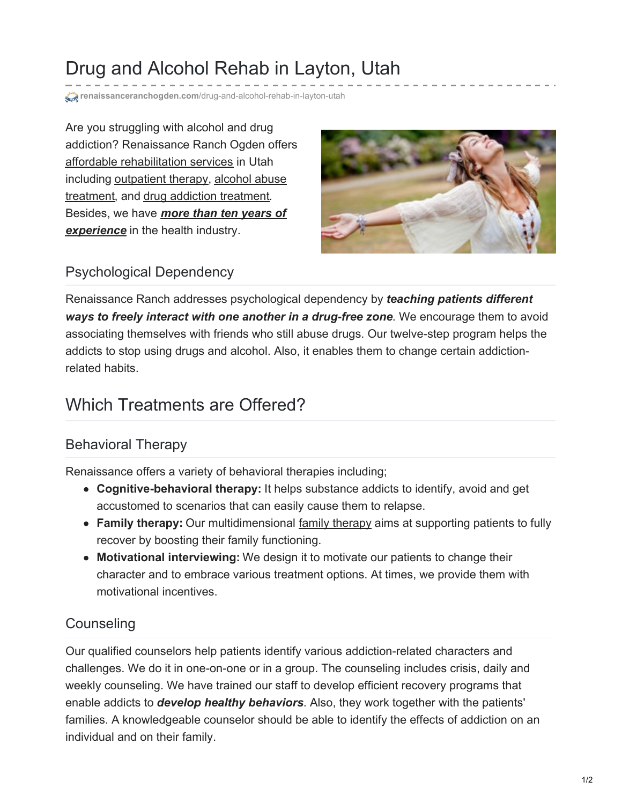# Drug and Alcohol Rehab in Layton, Utah

**renaissanceranchogden.com[/drug-and-alcohol-rehab-in-layton-utah](https://renaissanceranchogden.com/drug-and-alcohol-rehab-in-layton-utah/)** 

Are you struggling with alcohol and drug addiction? Renaissance Ranch Ogden offers affordable [rehabilitation](https://renaissanceranchogden.com/renaissance-rehabilitation-center/) services in Utah including [outpatient](https://renaissanceranchogden.com/outpatient-program/alcohol-abuse/) therapy, alcohol abuse treatment, and drug addiction [treatment](https://renaissanceranchogden.com/outpatient-program/drug-rehab/). Besides, we have *more than ten years of [experience](https://renaissanceranchogden.com/choose-renaissance-ranch-ogden-drug-alcohol-addiction-treatment-center/)* in the health industry.



#### Psychological Dependency

Renaissance Ranch addresses psychological dependency by *teaching patients different ways to freely interact with one another in a drug-free zone*. We encourage them to avoid associating themselves with friends who still abuse drugs. Our twelve-step program helps the addicts to stop using drugs and alcohol. Also, it enables them to change certain addictionrelated habits.

### Which Treatments are Offered?

#### Behavioral Therapy

Renaissance offers a variety of behavioral therapies including;

- **Cognitive-behavioral therapy:** It helps substance addicts to identify, avoid and get accustomed to scenarios that can easily cause them to relapse.
- **Family therapy:** Our multidimensional family [therapy](https://renaissanceranchogden.com/family-program/) aims at supporting patients to fully recover by boosting their family functioning.
- **Motivational interviewing:** We design it to motivate our patients to change their character and to embrace various treatment options. At times, we provide them with motivational incentives.

#### **Counseling**

Our qualified counselors help patients identify various addiction-related characters and challenges. We do it in one-on-one or in a group. The counseling includes crisis, daily and weekly counseling. We have trained our staff to develop efficient recovery programs that enable addicts to *develop healthy behaviors*. Also, they work together with the patients' families. A knowledgeable counselor should be able to identify the effects of addiction on an individual and on their family.